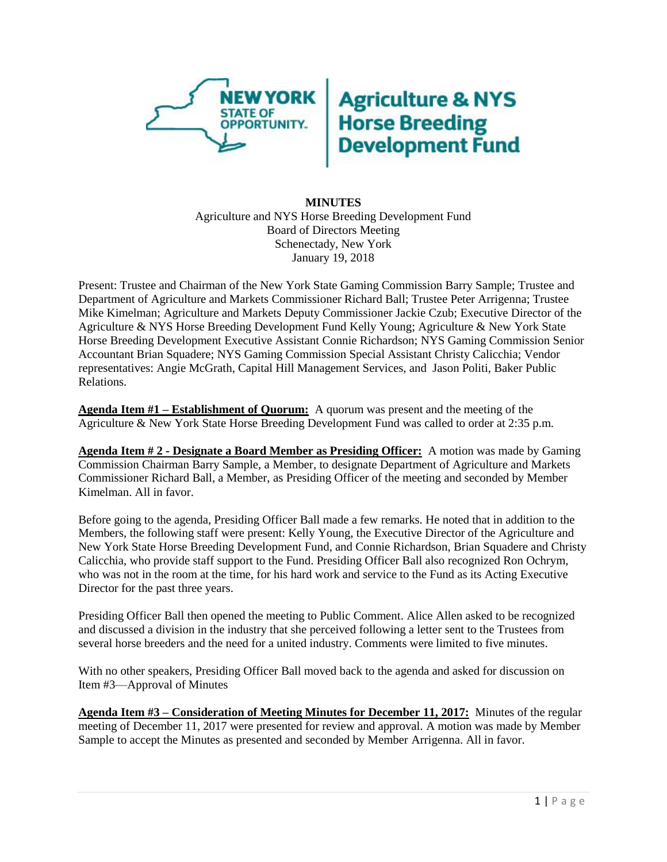

## **Agriculture & NYS<br>Horse Breeding<br>Development Fund**

## **MINUTES** Agriculture and NYS Horse Breeding Development Fund Board of Directors Meeting Schenectady, New York January 19, 2018

Present: Trustee and Chairman of the New York State Gaming Commission Barry Sample; Trustee and Department of Agriculture and Markets Commissioner Richard Ball; Trustee Peter Arrigenna; Trustee Mike Kimelman; Agriculture and Markets Deputy Commissioner Jackie Czub; Executive Director of the Agriculture & NYS Horse Breeding Development Fund Kelly Young; Agriculture & New York State Horse Breeding Development Executive Assistant Connie Richardson; NYS Gaming Commission Senior Accountant Brian Squadere; NYS Gaming Commission Special Assistant Christy Calicchia; Vendor representatives: Angie McGrath, Capital Hill Management Services, and Jason Politi, Baker Public Relations.

**Agenda Item #1 – Establishment of Quorum:** A quorum was present and the meeting of the Agriculture & New York State Horse Breeding Development Fund was called to order at 2:35 p.m.

**Agenda Item # 2 - Designate a Board Member as Presiding Officer:** A motion was made by Gaming Commission Chairman Barry Sample, a Member, to designate Department of Agriculture and Markets Commissioner Richard Ball, a Member, as Presiding Officer of the meeting and seconded by Member Kimelman. All in favor.

Before going to the agenda, Presiding Officer Ball made a few remarks. He noted that in addition to the Members, the following staff were present: Kelly Young, the Executive Director of the Agriculture and New York State Horse Breeding Development Fund, and Connie Richardson, Brian Squadere and Christy Calicchia, who provide staff support to the Fund. Presiding Officer Ball also recognized Ron Ochrym, who was not in the room at the time, for his hard work and service to the Fund as its Acting Executive Director for the past three years.

Presiding Officer Ball then opened the meeting to Public Comment. Alice Allen asked to be recognized and discussed a division in the industry that she perceived following a letter sent to the Trustees from several horse breeders and the need for a united industry. Comments were limited to five minutes.

With no other speakers, Presiding Officer Ball moved back to the agenda and asked for discussion on Item #3—Approval of Minutes

**Agenda Item #3 – Consideration of Meeting Minutes for December 11, 2017:** Minutes of the regular meeting of December 11, 2017 were presented for review and approval. A motion was made by Member Sample to accept the Minutes as presented and seconded by Member Arrigenna. All in favor.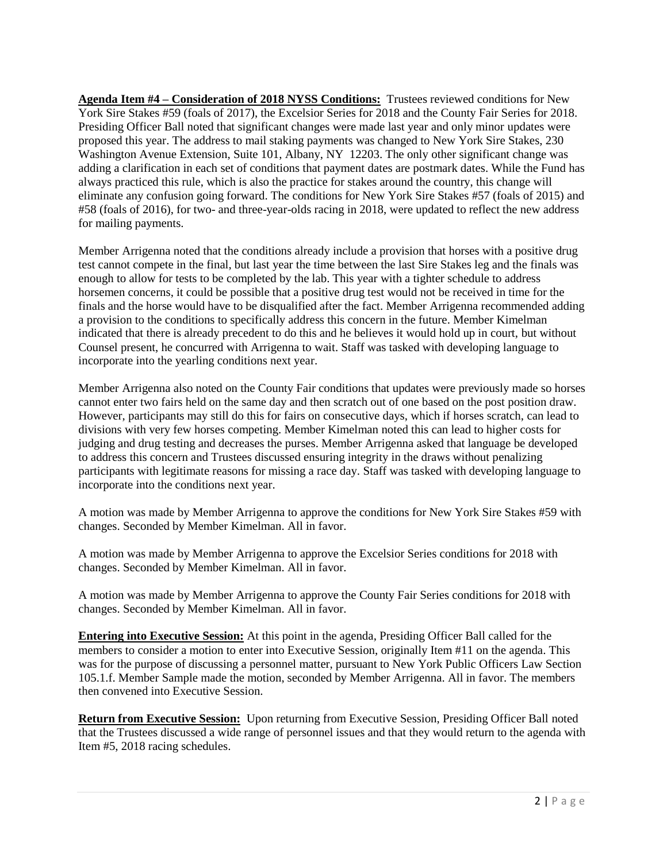**Agenda Item #4 – Consideration of 2018 NYSS Conditions:** Trustees reviewed conditions for New York Sire Stakes #59 (foals of 2017), the Excelsior Series for 2018 and the County Fair Series for 2018. Presiding Officer Ball noted that significant changes were made last year and only minor updates were proposed this year. The address to mail staking payments was changed to New York Sire Stakes, 230 Washington Avenue Extension, Suite 101, Albany, NY 12203. The only other significant change was adding a clarification in each set of conditions that payment dates are postmark dates. While the Fund has always practiced this rule, which is also the practice for stakes around the country, this change will eliminate any confusion going forward. The conditions for New York Sire Stakes #57 (foals of 2015) and #58 (foals of 2016), for two- and three-year-olds racing in 2018, were updated to reflect the new address for mailing payments.

Member Arrigenna noted that the conditions already include a provision that horses with a positive drug test cannot compete in the final, but last year the time between the last Sire Stakes leg and the finals was enough to allow for tests to be completed by the lab. This year with a tighter schedule to address horsemen concerns, it could be possible that a positive drug test would not be received in time for the finals and the horse would have to be disqualified after the fact. Member Arrigenna recommended adding a provision to the conditions to specifically address this concern in the future. Member Kimelman indicated that there is already precedent to do this and he believes it would hold up in court, but without Counsel present, he concurred with Arrigenna to wait. Staff was tasked with developing language to incorporate into the yearling conditions next year.

Member Arrigenna also noted on the County Fair conditions that updates were previously made so horses cannot enter two fairs held on the same day and then scratch out of one based on the post position draw. However, participants may still do this for fairs on consecutive days, which if horses scratch, can lead to divisions with very few horses competing. Member Kimelman noted this can lead to higher costs for judging and drug testing and decreases the purses. Member Arrigenna asked that language be developed to address this concern and Trustees discussed ensuring integrity in the draws without penalizing participants with legitimate reasons for missing a race day. Staff was tasked with developing language to incorporate into the conditions next year.

A motion was made by Member Arrigenna to approve the conditions for New York Sire Stakes #59 with changes. Seconded by Member Kimelman. All in favor.

A motion was made by Member Arrigenna to approve the Excelsior Series conditions for 2018 with changes. Seconded by Member Kimelman. All in favor.

A motion was made by Member Arrigenna to approve the County Fair Series conditions for 2018 with changes. Seconded by Member Kimelman. All in favor.

**Entering into Executive Session:** At this point in the agenda, Presiding Officer Ball called for the members to consider a motion to enter into Executive Session, originally Item #11 on the agenda. This was for the purpose of discussing a personnel matter, pursuant to New York Public Officers Law Section 105.1.f. Member Sample made the motion, seconded by Member Arrigenna. All in favor. The members then convened into Executive Session.

**Return from Executive Session:** Upon returning from Executive Session, Presiding Officer Ball noted that the Trustees discussed a wide range of personnel issues and that they would return to the agenda with Item #5, 2018 racing schedules.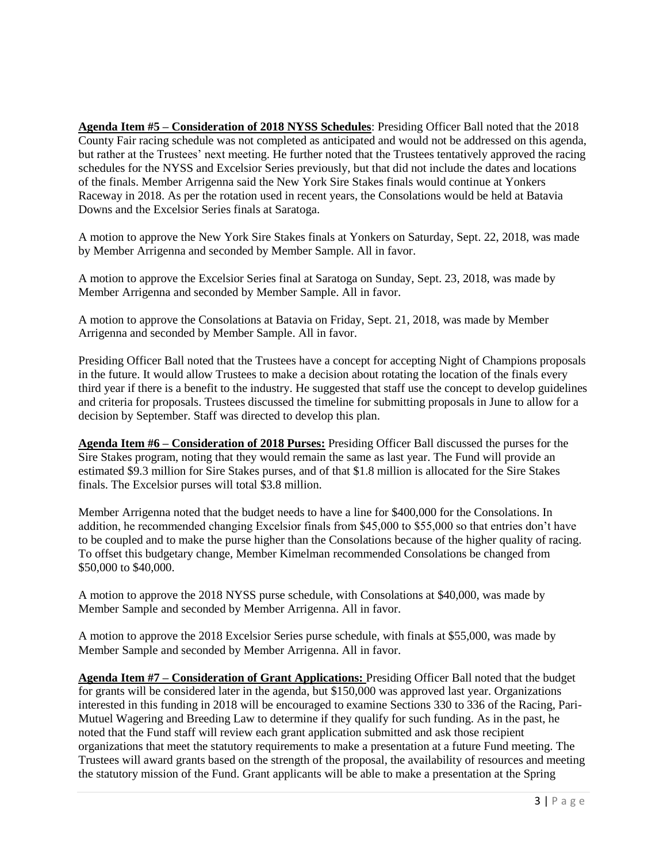**Agenda Item #5 – Consideration of 2018 NYSS Schedules**: Presiding Officer Ball noted that the 2018 County Fair racing schedule was not completed as anticipated and would not be addressed on this agenda, but rather at the Trustees' next meeting. He further noted that the Trustees tentatively approved the racing schedules for the NYSS and Excelsior Series previously, but that did not include the dates and locations of the finals. Member Arrigenna said the New York Sire Stakes finals would continue at Yonkers Raceway in 2018. As per the rotation used in recent years, the Consolations would be held at Batavia Downs and the Excelsior Series finals at Saratoga.

A motion to approve the New York Sire Stakes finals at Yonkers on Saturday, Sept. 22, 2018, was made by Member Arrigenna and seconded by Member Sample. All in favor.

A motion to approve the Excelsior Series final at Saratoga on Sunday, Sept. 23, 2018, was made by Member Arrigenna and seconded by Member Sample. All in favor.

A motion to approve the Consolations at Batavia on Friday, Sept. 21, 2018, was made by Member Arrigenna and seconded by Member Sample. All in favor.

Presiding Officer Ball noted that the Trustees have a concept for accepting Night of Champions proposals in the future. It would allow Trustees to make a decision about rotating the location of the finals every third year if there is a benefit to the industry. He suggested that staff use the concept to develop guidelines and criteria for proposals. Trustees discussed the timeline for submitting proposals in June to allow for a decision by September. Staff was directed to develop this plan.

**Agenda Item #6 – Consideration of 2018 Purses:** Presiding Officer Ball discussed the purses for the Sire Stakes program, noting that they would remain the same as last year. The Fund will provide an estimated \$9.3 million for Sire Stakes purses, and of that \$1.8 million is allocated for the Sire Stakes finals. The Excelsior purses will total \$3.8 million.

Member Arrigenna noted that the budget needs to have a line for \$400,000 for the Consolations. In addition, he recommended changing Excelsior finals from \$45,000 to \$55,000 so that entries don't have to be coupled and to make the purse higher than the Consolations because of the higher quality of racing. To offset this budgetary change, Member Kimelman recommended Consolations be changed from \$50,000 to \$40,000.

A motion to approve the 2018 NYSS purse schedule, with Consolations at \$40,000, was made by Member Sample and seconded by Member Arrigenna. All in favor.

A motion to approve the 2018 Excelsior Series purse schedule, with finals at \$55,000, was made by Member Sample and seconded by Member Arrigenna. All in favor.

**Agenda Item #7 – Consideration of Grant Applications:** Presiding Officer Ball noted that the budget for grants will be considered later in the agenda, but \$150,000 was approved last year. Organizations interested in this funding in 2018 will be encouraged to examine Sections 330 to 336 of the Racing, Pari-Mutuel Wagering and Breeding Law to determine if they qualify for such funding. As in the past, he noted that the Fund staff will review each grant application submitted and ask those recipient organizations that meet the statutory requirements to make a presentation at a future Fund meeting. The Trustees will award grants based on the strength of the proposal, the availability of resources and meeting the statutory mission of the Fund. Grant applicants will be able to make a presentation at the Spring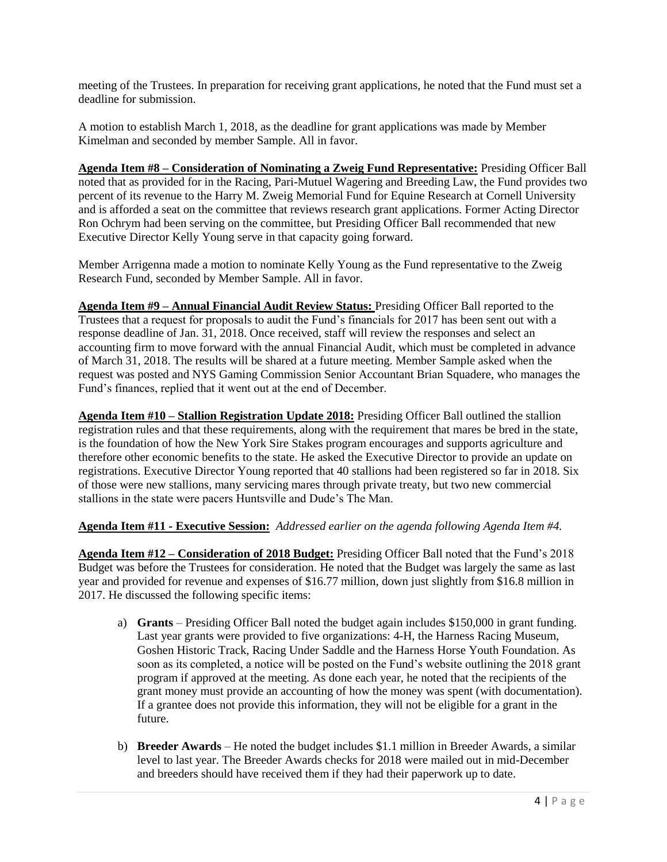meeting of the Trustees. In preparation for receiving grant applications, he noted that the Fund must set a deadline for submission.

A motion to establish March 1, 2018, as the deadline for grant applications was made by Member Kimelman and seconded by member Sample. All in favor.

**Agenda Item #8 – Consideration of Nominating a Zweig Fund Representative:** Presiding Officer Ball noted that as provided for in the Racing, Pari-Mutuel Wagering and Breeding Law, the Fund provides two percent of its revenue to the Harry M. Zweig Memorial Fund for Equine Research at Cornell University and is afforded a seat on the committee that reviews research grant applications. Former Acting Director Ron Ochrym had been serving on the committee, but Presiding Officer Ball recommended that new Executive Director Kelly Young serve in that capacity going forward.

Member Arrigenna made a motion to nominate Kelly Young as the Fund representative to the Zweig Research Fund, seconded by Member Sample. All in favor.

**Agenda Item #9 – Annual Financial Audit Review Status:** Presiding Officer Ball reported to the Trustees that a request for proposals to audit the Fund's financials for 2017 has been sent out with a response deadline of Jan. 31, 2018. Once received, staff will review the responses and select an accounting firm to move forward with the annual Financial Audit, which must be completed in advance of March 31, 2018. The results will be shared at a future meeting. Member Sample asked when the request was posted and NYS Gaming Commission Senior Accountant Brian Squadere, who manages the Fund's finances, replied that it went out at the end of December.

**Agenda Item #10 – Stallion Registration Update 2018:** Presiding Officer Ball outlined the stallion registration rules and that these requirements, along with the requirement that mares be bred in the state, is the foundation of how the New York Sire Stakes program encourages and supports agriculture and therefore other economic benefits to the state. He asked the Executive Director to provide an update on registrations. Executive Director Young reported that 40 stallions had been registered so far in 2018. Six of those were new stallions, many servicing mares through private treaty, but two new commercial stallions in the state were pacers Huntsville and Dude's The Man.

## **Agenda Item #11 - Executive Session:** *Addressed earlier on the agenda following Agenda Item #4.*

**Agenda Item #12 – Consideration of 2018 Budget:** Presiding Officer Ball noted that the Fund's 2018 Budget was before the Trustees for consideration. He noted that the Budget was largely the same as last year and provided for revenue and expenses of \$16.77 million, down just slightly from \$16.8 million in 2017. He discussed the following specific items:

- a) **Grants** Presiding Officer Ball noted the budget again includes \$150,000 in grant funding. Last year grants were provided to five organizations: 4-H, the Harness Racing Museum, Goshen Historic Track, Racing Under Saddle and the Harness Horse Youth Foundation. As soon as its completed, a notice will be posted on the Fund's website outlining the 2018 grant program if approved at the meeting. As done each year, he noted that the recipients of the grant money must provide an accounting of how the money was spent (with documentation). If a grantee does not provide this information, they will not be eligible for a grant in the future.
- b) **Breeder Awards** He noted the budget includes \$1.1 million in Breeder Awards, a similar level to last year. The Breeder Awards checks for 2018 were mailed out in mid-December and breeders should have received them if they had their paperwork up to date.